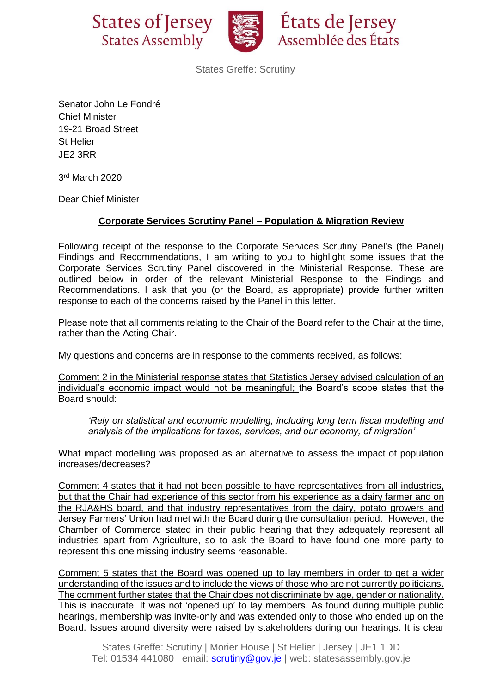



États de Jersey Assemblée des États

States Greffe: Scrutiny

Senator John Le Fondré Chief Minister 19-21 Broad Street St Helier JE2 3RR

3 rd March 2020

Dear Chief Minister

## **Corporate Services Scrutiny Panel – Population & Migration Review**

Following receipt of the response to the Corporate Services Scrutiny Panel's (the Panel) Findings and Recommendations, I am writing to you to highlight some issues that the Corporate Services Scrutiny Panel discovered in the Ministerial Response. These are outlined below in order of the relevant Ministerial Response to the Findings and Recommendations. I ask that you (or the Board, as appropriate) provide further written response to each of the concerns raised by the Panel in this letter.

Please note that all comments relating to the Chair of the Board refer to the Chair at the time, rather than the Acting Chair.

My questions and concerns are in response to the comments received, as follows:

Comment 2 in the Ministerial response states that Statistics Jersey advised calculation of an individual's economic impact would not be meaningful; the Board's scope states that the Board should:

*'Rely on statistical and economic modelling, including long term fiscal modelling and analysis of the implications for taxes, services, and our economy, of migration'*

What impact modelling was proposed as an alternative to assess the impact of population increases/decreases?

Comment 4 states that it had not been possible to have representatives from all industries, but that the Chair had experience of this sector from his experience as a dairy farmer and on the RJA&HS board, and that industry representatives from the dairy, potato growers and Jersey Farmers' Union had met with the Board during the consultation period. However, the Chamber of Commerce stated in their public hearing that they adequately represent all industries apart from Agriculture, so to ask the Board to have found one more party to represent this one missing industry seems reasonable.

Comment 5 states that the Board was opened up to lay members in order to get a wider understanding of the issues and to include the views of those who are not currently politicians. The comment further states that the Chair does not discriminate by age, gender or nationality. This is inaccurate. It was not 'opened up' to lay members. As found during multiple public hearings, membership was invite-only and was extended only to those who ended up on the Board. Issues around diversity were raised by stakeholders during our hearings. It is clear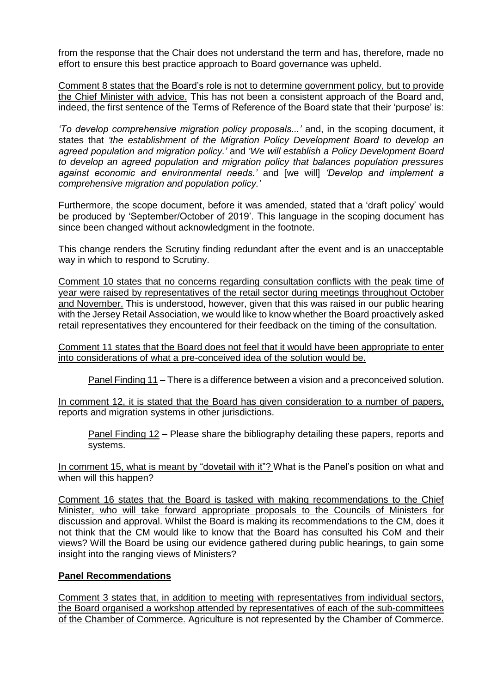from the response that the Chair does not understand the term and has, therefore, made no effort to ensure this best practice approach to Board governance was upheld.

Comment 8 states that the Board's role is not to determine government policy, but to provide the Chief Minister with advice. This has not been a consistent approach of the Board and, indeed, the first sentence of the Terms of Reference of the Board state that their 'purpose' is:

*'To develop comprehensive migration policy proposals...'* and, in the scoping document, it states that *'the establishment of the Migration Policy Development Board to develop an agreed population and migration policy.'* and *'We will establish a Policy Development Board to develop an agreed population and migration policy that balances population pressures against economic and environmental needs.'* and [we will] *'Develop and implement a comprehensive migration and population policy.'*

Furthermore, the scope document, before it was amended, stated that a 'draft policy' would be produced by 'September/October of 2019'. This language in the scoping document has since been changed without acknowledgment in the footnote.

This change renders the Scrutiny finding redundant after the event and is an unacceptable way in which to respond to Scrutiny.

Comment 10 states that no concerns regarding consultation conflicts with the peak time of year were raised by representatives of the retail sector during meetings throughout October and November. This is understood, however, given that this was raised in our public hearing with the Jersey Retail Association, we would like to know whether the Board proactively asked retail representatives they encountered for their feedback on the timing of the consultation.

Comment 11 states that the Board does not feel that it would have been appropriate to enter into considerations of what a pre-conceived idea of the solution would be.

Panel Finding 11 – There is a difference between a vision and a preconceived solution.

In comment 12, it is stated that the Board has given consideration to a number of papers, reports and migration systems in other jurisdictions.

Panel Finding 12 – Please share the bibliography detailing these papers, reports and systems.

In comment 15, what is meant by "dovetail with it"? What is the Panel's position on what and when will this happen?

Comment 16 states that the Board is tasked with making recommendations to the Chief Minister, who will take forward appropriate proposals to the Councils of Ministers for discussion and approval. Whilst the Board is making its recommendations to the CM, does it not think that the CM would like to know that the Board has consulted his CoM and their views? Will the Board be using our evidence gathered during public hearings, to gain some insight into the ranging views of Ministers?

## **Panel Recommendations**

Comment 3 states that, in addition to meeting with representatives from individual sectors, the Board organised a workshop attended by representatives of each of the sub-committees of the Chamber of Commerce. Agriculture is not represented by the Chamber of Commerce.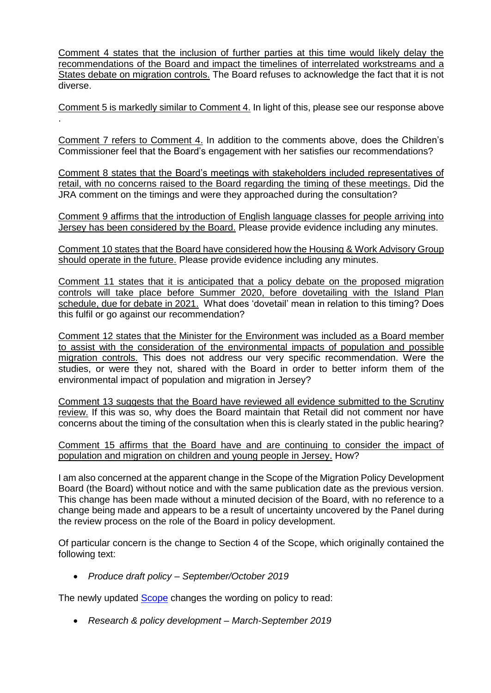Comment 4 states that the inclusion of further parties at this time would likely delay the recommendations of the Board and impact the timelines of interrelated workstreams and a States debate on migration controls. The Board refuses to acknowledge the fact that it is not diverse.

Comment 5 is markedly similar to Comment 4. In light of this, please see our response above .

Comment 7 refers to Comment 4. In addition to the comments above, does the Children's Commissioner feel that the Board's engagement with her satisfies our recommendations?

Comment 8 states that the Board's meetings with stakeholders included representatives of retail, with no concerns raised to the Board regarding the timing of these meetings. Did the JRA comment on the timings and were they approached during the consultation?

Comment 9 affirms that the introduction of English language classes for people arriving into Jersey has been considered by the Board. Please provide evidence including any minutes.

Comment 10 states that the Board have considered how the Housing & Work Advisory Group should operate in the future. Please provide evidence including any minutes.

Comment 11 states that it is anticipated that a policy debate on the proposed migration controls will take place before Summer 2020, before dovetailing with the Island Plan schedule, due for debate in 2021. What does 'dovetail' mean in relation to this timing? Does this fulfil or go against our recommendation?

Comment 12 states that the Minister for the Environment was included as a Board member to assist with the consideration of the environmental impacts of population and possible migration controls. This does not address our very specific recommendation. Were the studies, or were they not, shared with the Board in order to better inform them of the environmental impact of population and migration in Jersey?

Comment 13 suggests that the Board have reviewed all evidence submitted to the Scrutiny review. If this was so, why does the Board maintain that Retail did not comment nor have concerns about the timing of the consultation when this is clearly stated in the public hearing?

Comment 15 affirms that the Board have and are continuing to consider the impact of population and migration on children and young people in Jersey. How?

I am also concerned at the apparent change in the Scope of the Migration Policy Development Board (the Board) without notice and with the same publication date as the previous version. This change has been made without a minuted decision of the Board, with no reference to a change being made and appears to be a result of uncertainty uncovered by the Panel during the review process on the role of the Board in policy development.

Of particular concern is the change to Section 4 of the Scope, which originally contained the following text:

• *Produce draft policy – September/October 2019*

The newly updated **Scope** changes the wording on policy to read:

• *Research & policy development – March-September 2019*